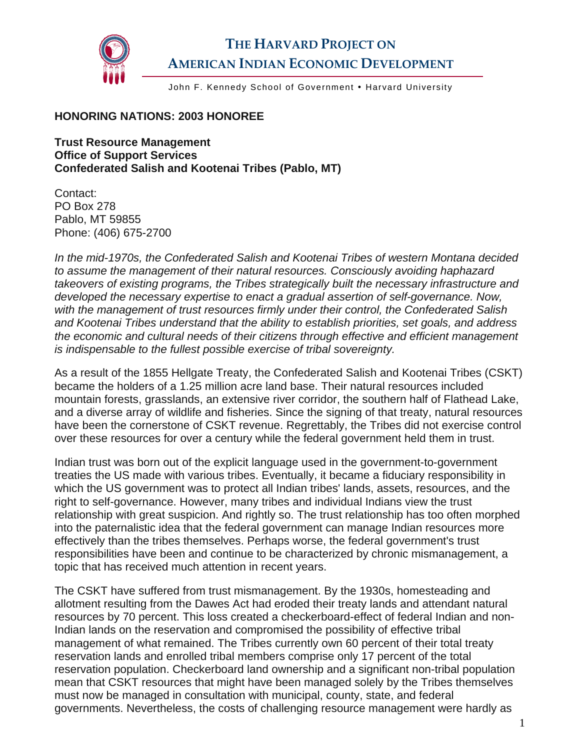

## **THE HARVARD PROJECT ON AMERICAN INDIAN ECONOMIC DEVELOPMENT**

John F. Kennedy School of Government . Harvard University

## **HONORING NATIONS: 2003 HONOREE**

**Trust Resource Management Office of Support Services Confederated Salish and Kootenai Tribes (Pablo, MT)** 

Contact: PO Box 278 Pablo, MT 59855 Phone: (406) 675-2700

*In the mid-1970s, the Confederated Salish and Kootenai Tribes of western Montana decided to assume the management of their natural resources. Consciously avoiding haphazard takeovers of existing programs, the Tribes strategically built the necessary infrastructure and developed the necessary expertise to enact a gradual assertion of self-governance. Now, with the management of trust resources firmly under their control, the Confederated Salish and Kootenai Tribes understand that the ability to establish priorities, set goals, and address the economic and cultural needs of their citizens through effective and efficient management is indispensable to the fullest possible exercise of tribal sovereignty.* 

As a result of the 1855 Hellgate Treaty, the Confederated Salish and Kootenai Tribes (CSKT) became the holders of a 1.25 million acre land base. Their natural resources included mountain forests, grasslands, an extensive river corridor, the southern half of Flathead Lake, and a diverse array of wildlife and fisheries. Since the signing of that treaty, natural resources have been the cornerstone of CSKT revenue. Regrettably, the Tribes did not exercise control over these resources for over a century while the federal government held them in trust.

Indian trust was born out of the explicit language used in the government-to-government treaties the US made with various tribes. Eventually, it became a fiduciary responsibility in which the US government was to protect all Indian tribes' lands, assets, resources, and the right to self-governance. However, many tribes and individual Indians view the trust relationship with great suspicion. And rightly so. The trust relationship has too often morphed into the paternalistic idea that the federal government can manage Indian resources more effectively than the tribes themselves. Perhaps worse, the federal government's trust responsibilities have been and continue to be characterized by chronic mismanagement, a topic that has received much attention in recent years.

The CSKT have suffered from trust mismanagement. By the 1930s, homesteading and allotment resulting from the Dawes Act had eroded their treaty lands and attendant natural resources by 70 percent. This loss created a checkerboard-effect of federal Indian and non-Indian lands on the reservation and compromised the possibility of effective tribal management of what remained. The Tribes currently own 60 percent of their total treaty reservation lands and enrolled tribal members comprise only 17 percent of the total reservation population. Checkerboard land ownership and a significant non-tribal population mean that CSKT resources that might have been managed solely by the Tribes themselves must now be managed in consultation with municipal, county, state, and federal governments. Nevertheless, the costs of challenging resource management were hardly as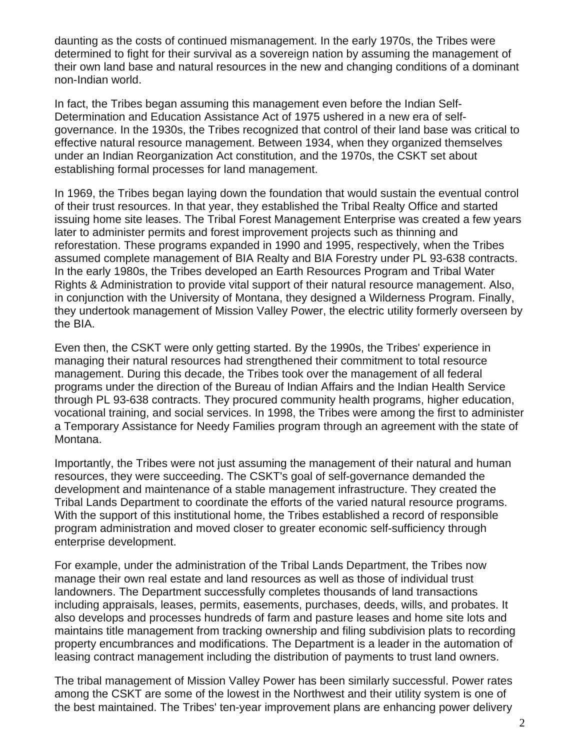daunting as the costs of continued mismanagement. In the early 1970s, the Tribes were determined to fight for their survival as a sovereign nation by assuming the management of their own land base and natural resources in the new and changing conditions of a dominant non-Indian world.

In fact, the Tribes began assuming this management even before the Indian Self-Determination and Education Assistance Act of 1975 ushered in a new era of selfgovernance. In the 1930s, the Tribes recognized that control of their land base was critical to effective natural resource management. Between 1934, when they organized themselves under an Indian Reorganization Act constitution, and the 1970s, the CSKT set about establishing formal processes for land management.

In 1969, the Tribes began laying down the foundation that would sustain the eventual control of their trust resources. In that year, they established the Tribal Realty Office and started issuing home site leases. The Tribal Forest Management Enterprise was created a few years later to administer permits and forest improvement projects such as thinning and reforestation. These programs expanded in 1990 and 1995, respectively, when the Tribes assumed complete management of BIA Realty and BIA Forestry under PL 93-638 contracts. In the early 1980s, the Tribes developed an Earth Resources Program and Tribal Water Rights & Administration to provide vital support of their natural resource management. Also, in conjunction with the University of Montana, they designed a Wilderness Program. Finally, they undertook management of Mission Valley Power, the electric utility formerly overseen by the BIA.

Even then, the CSKT were only getting started. By the 1990s, the Tribes' experience in managing their natural resources had strengthened their commitment to total resource management. During this decade, the Tribes took over the management of all federal programs under the direction of the Bureau of Indian Affairs and the Indian Health Service through PL 93-638 contracts. They procured community health programs, higher education, vocational training, and social services. In 1998, the Tribes were among the first to administer a Temporary Assistance for Needy Families program through an agreement with the state of Montana.

Importantly, the Tribes were not just assuming the management of their natural and human resources, they were succeeding. The CSKT's goal of self-governance demanded the development and maintenance of a stable management infrastructure. They created the Tribal Lands Department to coordinate the efforts of the varied natural resource programs. With the support of this institutional home, the Tribes established a record of responsible program administration and moved closer to greater economic self-sufficiency through enterprise development.

For example, under the administration of the Tribal Lands Department, the Tribes now manage their own real estate and land resources as well as those of individual trust landowners. The Department successfully completes thousands of land transactions including appraisals, leases, permits, easements, purchases, deeds, wills, and probates. It also develops and processes hundreds of farm and pasture leases and home site lots and maintains title management from tracking ownership and filing subdivision plats to recording property encumbrances and modifications. The Department is a leader in the automation of leasing contract management including the distribution of payments to trust land owners.

The tribal management of Mission Valley Power has been similarly successful. Power rates among the CSKT are some of the lowest in the Northwest and their utility system is one of the best maintained. The Tribes' ten-year improvement plans are enhancing power delivery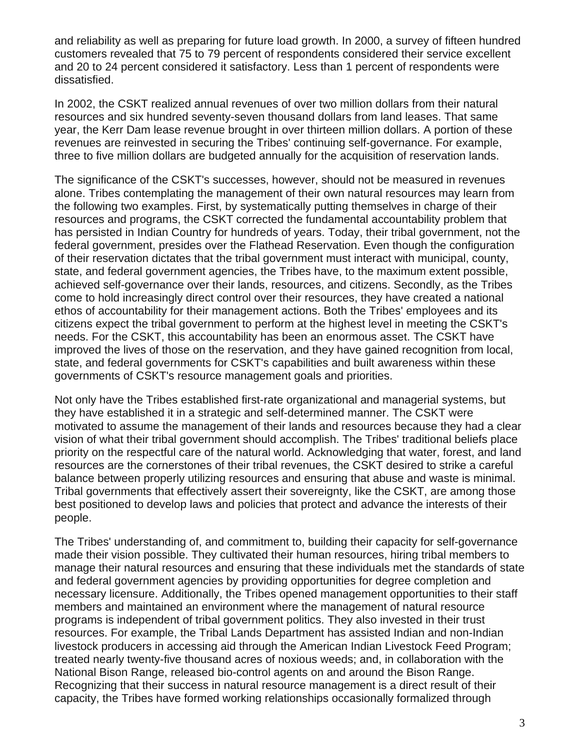and reliability as well as preparing for future load growth. In 2000, a survey of fifteen hundred customers revealed that 75 to 79 percent of respondents considered their service excellent and 20 to 24 percent considered it satisfactory. Less than 1 percent of respondents were dissatisfied.

In 2002, the CSKT realized annual revenues of over two million dollars from their natural resources and six hundred seventy-seven thousand dollars from land leases. That same year, the Kerr Dam lease revenue brought in over thirteen million dollars. A portion of these revenues are reinvested in securing the Tribes' continuing self-governance. For example, three to five million dollars are budgeted annually for the acquisition of reservation lands.

The significance of the CSKT's successes, however, should not be measured in revenues alone. Tribes contemplating the management of their own natural resources may learn from the following two examples. First, by systematically putting themselves in charge of their resources and programs, the CSKT corrected the fundamental accountability problem that has persisted in Indian Country for hundreds of years. Today, their tribal government, not the federal government, presides over the Flathead Reservation. Even though the configuration of their reservation dictates that the tribal government must interact with municipal, county, state, and federal government agencies, the Tribes have, to the maximum extent possible, achieved self-governance over their lands, resources, and citizens. Secondly, as the Tribes come to hold increasingly direct control over their resources, they have created a national ethos of accountability for their management actions. Both the Tribes' employees and its citizens expect the tribal government to perform at the highest level in meeting the CSKT's needs. For the CSKT, this accountability has been an enormous asset. The CSKT have improved the lives of those on the reservation, and they have gained recognition from local, state, and federal governments for CSKT's capabilities and built awareness within these governments of CSKT's resource management goals and priorities.

Not only have the Tribes established first-rate organizational and managerial systems, but they have established it in a strategic and self-determined manner. The CSKT were motivated to assume the management of their lands and resources because they had a clear vision of what their tribal government should accomplish. The Tribes' traditional beliefs place priority on the respectful care of the natural world. Acknowledging that water, forest, and land resources are the cornerstones of their tribal revenues, the CSKT desired to strike a careful balance between properly utilizing resources and ensuring that abuse and waste is minimal. Tribal governments that effectively assert their sovereignty, like the CSKT, are among those best positioned to develop laws and policies that protect and advance the interests of their people.

The Tribes' understanding of, and commitment to, building their capacity for self-governance made their vision possible. They cultivated their human resources, hiring tribal members to manage their natural resources and ensuring that these individuals met the standards of state and federal government agencies by providing opportunities for degree completion and necessary licensure. Additionally, the Tribes opened management opportunities to their staff members and maintained an environment where the management of natural resource programs is independent of tribal government politics. They also invested in their trust resources. For example, the Tribal Lands Department has assisted Indian and non-Indian livestock producers in accessing aid through the American Indian Livestock Feed Program; treated nearly twenty-five thousand acres of noxious weeds; and, in collaboration with the National Bison Range, released bio-control agents on and around the Bison Range. Recognizing that their success in natural resource management is a direct result of their capacity, the Tribes have formed working relationships occasionally formalized through